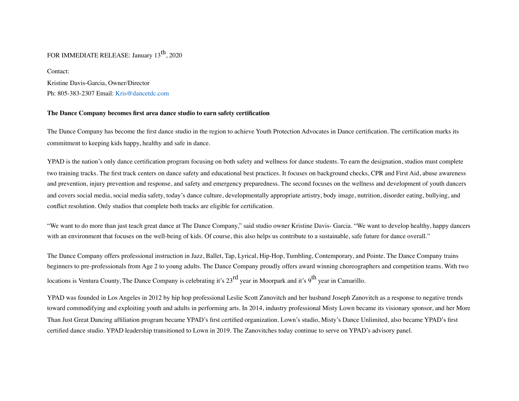## FOR IMMEDIATE RELEASE: January 13<sup>th</sup>, 2020

Kristine Davis-Garcia, Owner/Director Ph: 805-383-2307 Email: Kris@dancetdc.com

Contact:

### **The Dance Company becomes first area dance studio to earn safety certification**

The Dance Company has become the first dance studio in the region to achieve Youth Protection Advocates in Dance certification. The certification marks its commitment to keeping kids happy, healthy and safe in dance.

YPAD is the nation's only dance certification program focusing on both safety and wellness for dance students. To earn the designation, studios must complete two training tracks. The first track centers on dance safety and educational best practices. It focuses on background checks, CPR and First Aid, abuse awareness and prevention, injury prevention and response, and safety and emergency preparedness. The second focuses on the wellness and development of youth dancers and covers social media, social media safety, today's dance culture, developmentally appropriate artistry, body image, nutrition, disorder eating, bullying, and conflict resolution. Only studios that complete both tracks are eligible for certification.

"We want to do more than just teach great dance at The Dance Company," said studio owner Kristine Davis- Garcia. "We want to develop healthy, happy dancers with an environment that focuses on the well-being of kids. Of course, this also helps us contribute to a sustainable, safe future for dance overall."

The Dance Company offers professional instruction in Jazz, Ballet, Tap, Lyrical, Hip-Hop, Tumbling, Contemporary, and Pointe. The Dance Company trains beginners to pre-professionals from Age 2 to young adults. The Dance Company proudly offers award winning choreographers and competition teams. With two locations is Ventura County, The Dance Company is celebrating it's 23<sup>rd</sup> year in Moorpark and it's 9<sup>th</sup> year in Camarillo.

YPAD was founded in Los Angeles in 2012 by hip hop professional Leslie Scott Zanovitch and her husband Joseph Zanovitch as a response to negative trends toward commodifying and exploiting youth and adults in performing arts. In 2014, industry professional Misty Lown became its visionary sponsor, and her More Than Just Great Dancing affiliation program became YPAD's first certified organization. Lown's studio, Misty's Dance Unlimited, also became YPAD's first certified dance studio. YPAD leadership transitioned to Lown in 2019. The Zanovitches today continue to serve on YPAD's advisory panel.